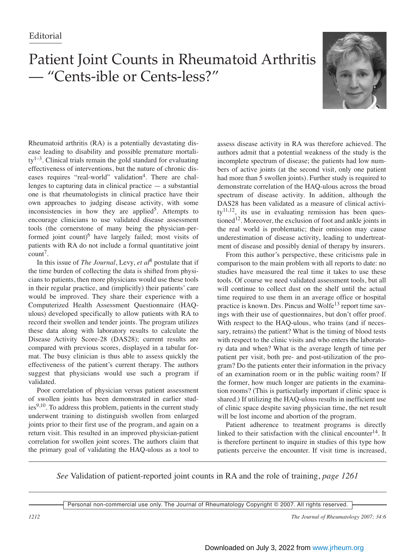## Patient Joint Counts in Rheumatoid Arthritis — "Cents-ible or Cents-less?"



Rheumatoid arthritis (RA) is a potentially devastating disease leading to disability and possible premature mortali $ty^{1-3}$ . Clinical trials remain the gold standard for evaluating effectiveness of interventions, but the nature of chronic diseases requires "real-world" validation<sup>4</sup>. There are challenges to capturing data in clinical practice  $-$  a substantial one is that rheumatologists in clinical practice have their own approaches to judging disease activity, with some inconsistencies in how they are applied<sup>5</sup>. Attempts to encourage clinicians to use validated disease assessment tools (the cornerstone of many being the physician-performed joint count)<sup>6</sup> have largely failed; most visits of patients with RA do not include a formal quantitative joint  $count<sup>7</sup>$ .

In this issue of *The Journal*, Levy, *et al*<sup>8</sup> postulate that if the time burden of collecting the data is shifted from physicians to patients, then more physicians would use these tools in their regular practice, and (implicitly) their patients' care would be improved. They share their experience with a Computerized Health Assessment Questionnaire (HAQulous) developed specifically to allow patients with RA to record their swollen and tender joints. The program utilizes these data along with laboratory results to calculate the Disease Activity Score-28 (DAS28); current results are compared with previous scores, displayed in a tabular format. The busy clinician is thus able to assess quickly the effectiveness of the patient's current therapy. The authors suggest that physicians would use such a program if validated.

Poor correlation of physician versus patient assessment of swollen joints has been demonstrated in earlier stud $ies<sup>9,10</sup>$ . To address this problem, patients in the current study underwent training to distinguish swollen from enlarged joints prior to their first use of the program, and again on a return visit. This resulted in an improved physician-patient correlation for swollen joint scores. The authors claim that the primary goal of validating the HAQ-ulous as a tool to assess disease activity in RA was therefore achieved. The authors admit that a potential weakness of the study is the incomplete spectrum of disease; the patients had low numbers of active joints (at the second visit, only one patient had more than 5 swollen joints). Further study is required to demonstrate correlation of the HAQ-ulous across the broad spectrum of disease activity. In addition, although the DAS28 has been validated as a measure of clinical activi $tv^{11,12}$ , its use in evaluating remission has been questioned<sup>12</sup>. Moreover, the exclusion of foot and ankle joints in the real world is problematic; their omission may cause underestimation of disease activity, leading to undertreatment of disease and possibly denial of therapy by insurers.

From this author's perspective, these criticisms pale in comparison to the main problem with all reports to date: no studies have measured the real time it takes to use these tools. Of course we need validated assessment tools, but all will continue to collect dust on the shelf until the actual time required to use them in an average office or hospital practice is known. Drs. Pincus and Wolfe<sup>13</sup> report time savings with their use of questionnaires, but don't offer proof. With respect to the HAQ-ulous, who trains (and if necessary, retrains) the patient? What is the timing of blood tests with respect to the clinic visits and who enters the laboratory data and when? What is the average length of time per patient per visit, both pre- and post-utilization of the program? Do the patients enter their information in the privacy of an examination room or in the public waiting room? If the former, how much longer are patients in the examination rooms? (This is particularly important if clinic space is shared.) If utilizing the HAQ-ulous results in inefficient use of clinic space despite saving physician time, the net result will be lost income and abortion of the program.

Patient adherence to treatment programs is directly linked to their satisfaction with the clinical encounter $14$ . It is therefore pertinent to inquire in studies of this type how patients perceive the encounter. If visit time is increased,

*See* Validation of patient-reported joint counts in RA and the role of training, *page 1261*

Personal non-commercial use only. The Journal of Rheumatology Copyright © 2007. All rights reserved.

*1212 The Journal of Rheumatology 2007; 34:6*